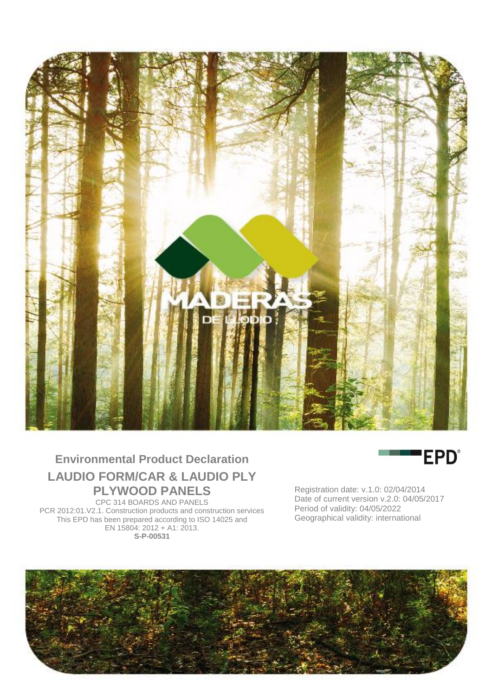

# **Environmental Product Declaration LAUDIO FORM/CAR & LAUDIO PLY PLYWOOD PANELS**

CPC 314 BOARDS AND PANELS PCR 2012:01.V2.1. Construction products and construction services This EPD has been prepared according to ISO 14025 and EN 15804: 2012 + A1: 2013. **S-P-00531**



Registration date: v.1.0: 02/04/2014 Date of current version v.2.0: 04/05/2017 Period of validity: 04/05/2022 Geographical validity: international

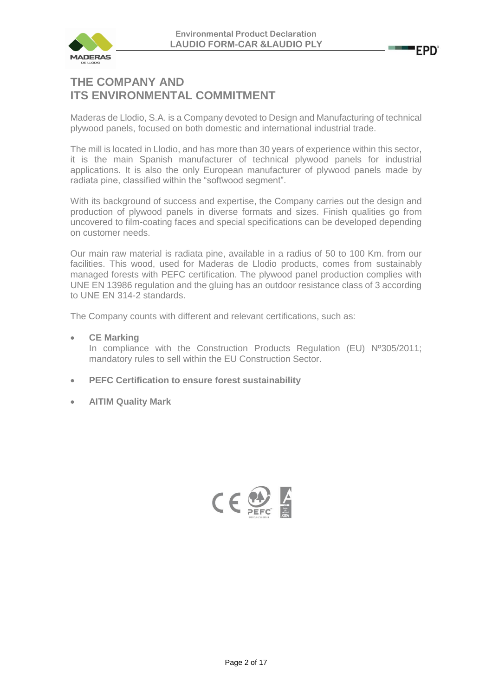

## **THE COMPANY AND ITS ENVIRONMENTAL COMMITMENT**

Maderas de Llodio, S.A. is a Company devoted to Design and Manufacturing of technical plywood panels, focused on both domestic and international industrial trade.

The mill is located in Llodio, and has more than 30 years of experience within this sector, it is the main Spanish manufacturer of technical plywood panels for industrial applications. It is also the only European manufacturer of plywood panels made by radiata pine, classified within the "softwood segment".

With its background of success and expertise, the Company carries out the design and production of plywood panels in diverse formats and sizes. Finish qualities go from uncovered to film-coating faces and special specifications can be developed depending on customer needs.

Our main raw material is radiata pine, available in a radius of 50 to 100 Km. from our facilities. This wood, used for Maderas de Llodio products, comes from sustainably managed forests with PEFC certification. The plywood panel production complies with UNE EN 13986 regulation and the gluing has an outdoor resistance class of 3 according to UNE EN 314-2 standards.

The Company counts with different and relevant certifications, such as:

### • **CE Marking**

In compliance with the Construction Products Regulation (EU) Nº305/2011; mandatory rules to sell within the EU Construction Sector.

- **PEFC Certification to ensure forest sustainability**
- **AITIM Quality Mark**

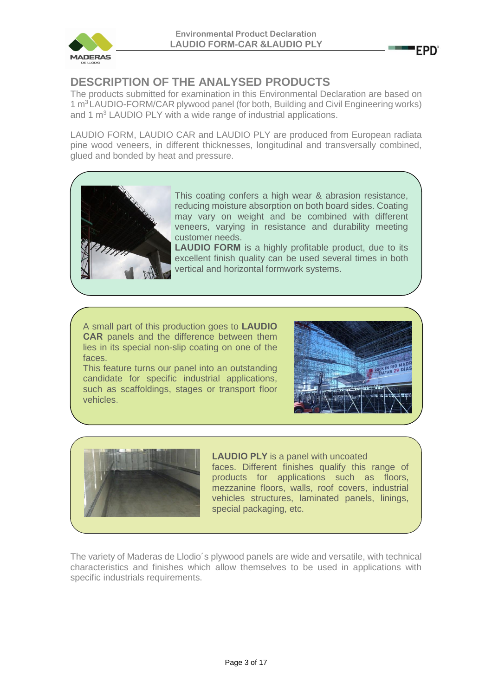

# **DESCRIPTION OF THE ANALYSED PRODUCTS**

The products submitted for examination in this Environmental Declaration are based on 1 m<sup>3</sup> LAUDIO-FORM/CAR plywood panel (for both, Building and Civil Engineering works) and 1 m<sup>3</sup> LAUDIO PLY with a wide range of industrial applications.

LAUDIO FORM, LAUDIO CAR and LAUDIO PLY are produced from European radiata pine wood veneers, in different thicknesses, longitudinal and transversally combined, glued and bonded by heat and pressure.



This coating confers a high wear & abrasion resistance, reducing moisture absorption on both board sides. Coating may vary on weight and be combined with different veneers, varying in resistance and durability meeting customer needs.

**LAUDIO FORM** is a highly profitable product, due to its excellent finish quality can be used several times in both vertical and horizontal formwork systems.

A small part of this production goes to **LAUDIO CAR** panels and the difference between them lies in its special non-slip coating on one of the faces.

This feature turns our panel into an outstanding candidate for specific industrial applications, such as scaffoldings, stages or transport floor vehicles.



**EPD'** 



**LAUDIO PLY** is a panel with uncoated faces. Different finishes qualify this range of products for applications such as floors, mezzanine floors, walls, roof covers, industrial vehicles structures, laminated panels, linings, special packaging, etc.

The variety of Maderas de Llodio´s plywood panels are wide and versatile, with technical characteristics and finishes which allow themselves to be used in applications with specific industrials requirements.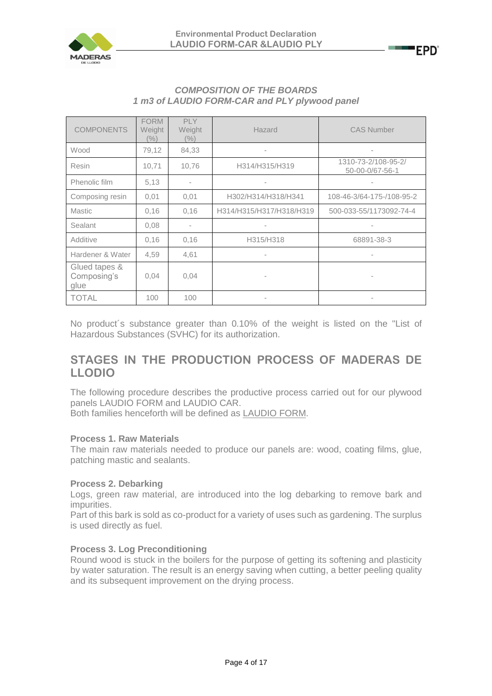

| <b>COMPOSITION OF THE BOARDS</b>              |
|-----------------------------------------------|
| 1 m3 of LAUDIO FORM-CAR and PLY plywood panel |
|                                               |

| <b>COMPONENTS</b>                    | <b>FORM</b><br>Weight<br>$\frac{1}{2}$ | PLY.<br>Weight<br>$(\%)$ | Hazard                   | <b>CAS Number</b>                      |
|--------------------------------------|----------------------------------------|--------------------------|--------------------------|----------------------------------------|
| Wood                                 | 79,12                                  | 84,33                    | $\overline{\phantom{a}}$ | ٠                                      |
| Resin                                | 10,71                                  | 10,76                    | H314/H315/H319           | 1310-73-2/108-95-2/<br>50-00-0/67-56-1 |
| Phenolic film                        | 5.13                                   |                          |                          |                                        |
| Composing resin                      | 0,01                                   | 0,01                     | H302/H314/H318/H341      | 108-46-3/64-175-/108-95-2              |
| <b>Mastic</b>                        | 0,16                                   | 0.16                     | H314/H315/H317/H318/H319 | 500-033-55/1173092-74-4                |
| Sealant                              | 0,08                                   | $\sim$                   | $\overline{\phantom{a}}$ | ٠                                      |
| Additive                             | 0,16                                   | 0,16                     | H315/H318                | 68891-38-3                             |
| Hardener & Water                     | 4,59                                   | 4,61                     | $\overline{\phantom{a}}$ |                                        |
| Glued tapes &<br>Composing's<br>glue | 0,04                                   | 0,04                     | $\overline{\phantom{a}}$ |                                        |
| <b>TOTAL</b>                         | 100                                    | 100                      | $\overline{\phantom{a}}$ |                                        |

No product´s substance greater than 0.10% of the weight is listed on the "List of Hazardous Substances (SVHC) for its authorization.

## **STAGES IN THE PRODUCTION PROCESS OF MADERAS DE LLODIO**

The following procedure describes the productive process carried out for our plywood panels LAUDIO FORM and LAUDIO CAR.

Both families henceforth will be defined as LAUDIO FORM.

### **Process 1. Raw Materials**

The main raw materials needed to produce our panels are: wood, coating films, glue, patching mastic and sealants.

### **Process 2. Debarking**

Logs, green raw material, are introduced into the log debarking to remove bark and impurities.

Part of this bark is sold as co-product for a variety of uses such as gardening. The surplus is used directly as fuel.

### **Process 3. Log Preconditioning**

Round wood is stuck in the boilers for the purpose of getting its softening and plasticity by water saturation. The result is an energy saving when cutting, a better peeling quality and its subsequent improvement on the drying process.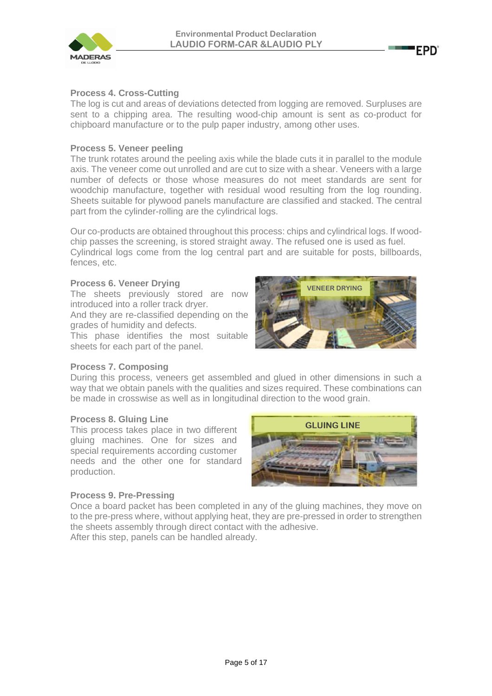

### **Process 4. Cross-Cutting**

The log is cut and areas of deviations detected from logging are removed. Surpluses are sent to a chipping area. The resulting wood-chip amount is sent as co-product for chipboard manufacture or to the pulp paper industry, among other uses.

### **Process 5. Veneer peeling**

The trunk rotates around the peeling axis while the blade cuts it in parallel to the module axis. The veneer come out unrolled and are cut to size with a shear. Veneers with a large number of defects or those whose measures do not meet standards are sent for woodchip manufacture, together with residual wood resulting from the log rounding. Sheets suitable for plywood panels manufacture are classified and stacked. The central part from the cylinder-rolling are the cylindrical logs.

Our co-products are obtained throughout this process: chips and cylindrical logs. If woodchip passes the screening, is stored straight away. The refused one is used as fuel.

Cylindrical logs come from the log central part and are suitable for posts, billboards, fences, etc.

#### **Process 6. Veneer Drying**

The sheets previously stored are now introduced into a roller track dryer.

And they are re-classified depending on the grades of humidity and defects.

This phase identifies the most suitable sheets for each part of the panel.



**EPD'** 

### **Process 7. Composing**

During this process, veneers get assembled and glued in other dimensions in such a way that we obtain panels with the qualities and sizes required. These combinations can be made in crosswise as well as in longitudinal direction to the wood grain.

#### **Process 8. Gluing Line**

This process takes place in two different gluing machines. One for sizes and special requirements according customer needs and the other one for standard production.



### **Process 9. Pre-Pressing**

Once a board packet has been completed in any of the gluing machines, they move on to the pre-press where, without applying heat, they are pre-pressed in order to strengthen the sheets assembly through direct contact with the adhesive. After this step, panels can be handled already.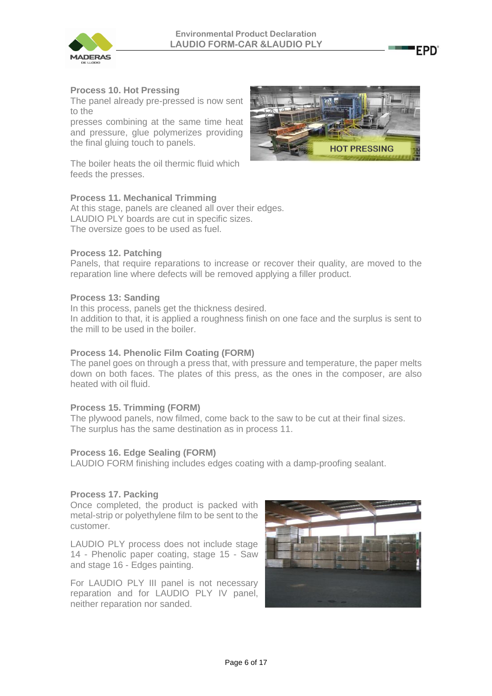

### **Process 10. Hot Pressing**

The panel already pre-pressed is now sent to the

presses combining at the same time heat and pressure, glue polymerizes providing the final gluing touch to panels.

The boiler heats the oil thermic fluid which feeds the presses.

### **Process 11. Mechanical Trimming**

At this stage, panels are cleaned all over their edges. LAUDIO PLY boards are cut in specific sizes. The oversize goes to be used as fuel.

### **Process 12. Patching**

Panels, that require reparations to increase or recover their quality, are moved to the reparation line where defects will be removed applying a filler product.

### **Process 13: Sanding**

In this process, panels get the thickness desired.

In addition to that, it is applied a roughness finish on one face and the surplus is sent to the mill to be used in the boiler.

### **Process 14. Phenolic Film Coating (FORM)**

The panel goes on through a press that, with pressure and temperature, the paper melts down on both faces. The plates of this press, as the ones in the composer, are also heated with oil fluid.

### **Process 15. Trimming (FORM)**

The plywood panels, now filmed, come back to the saw to be cut at their final sizes. The surplus has the same destination as in process 11.

### **Process 16. Edge Sealing (FORM)**

LAUDIO FORM finishing includes edges coating with a damp-proofing sealant.

### **Process 17. Packing**

Once completed, the product is packed with metal-strip or polyethylene film to be sent to the customer.

LAUDIO PLY process does not include stage 14 - Phenolic paper coating, stage 15 - Saw and stage 16 - Edges painting.

For LAUDIO PLY III panel is not necessary reparation and for LAUDIO PLY IV panel, neither reparation nor sanded.





EPD'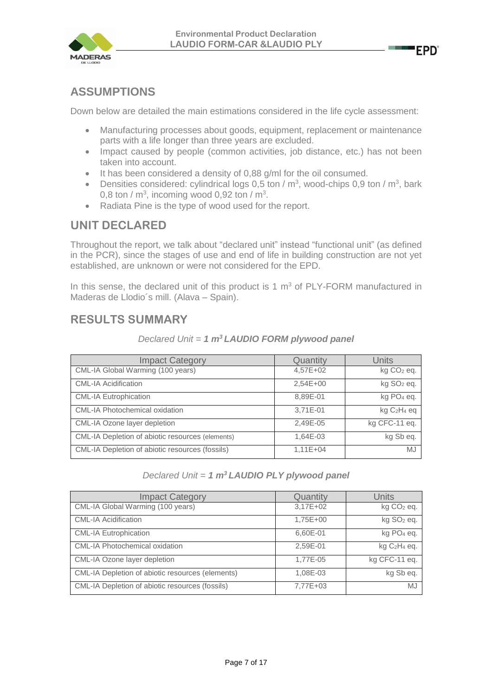



## **ASSUMPTIONS**

Down below are detailed the main estimations considered in the life cycle assessment:

- Manufacturing processes about goods, equipment, replacement or maintenance parts with a life longer than three years are excluded.
- Impact caused by people (common activities, job distance, etc.) has not been taken into account.
- It has been considered a density of 0,88 g/ml for the oil consumed.
- Densities considered: cylindrical logs 0,5 ton /  $m^3$ , wood-chips 0,9 ton /  $m^3$ , bark 0,8 ton /  $\textsf{m}^3$ , incoming wood 0,92 ton /  $\textsf{m}^3$ .
- Radiata Pine is the type of wood used for the report.

## **UNIT DECLARED**

Throughout the report, we talk about "declared unit" instead "functional unit" (as defined in the PCR), since the stages of use and end of life in building construction are not yet established, are unknown or were not considered for the EPD.

In this sense, the declared unit of this product is 1  $m<sup>3</sup>$  of PLY-FORM manufactured in Maderas de Llodio´s mill. (Alava – Spain).

## **RESULTS SUMMARY**

| <b>Impact Category</b>                           | Quantity   | Units                      |
|--------------------------------------------------|------------|----------------------------|
| CML-IA Global Warming (100 years)                | 4,57E+02   | kg CO <sub>2</sub> eq.     |
| <b>CML-IA Acidification</b>                      | 2,54E+00   | kg SO <sub>2</sub> eq.     |
| <b>CML-IA Eutrophication</b>                     | 8,89E-01   | kg PO <sub>4</sub> eq.     |
| <b>CML-IA Photochemical oxidation</b>            | 3,71E-01   | $kgC2H4$ eq                |
| CML-IA Ozone layer depletion                     | 2,49E-05   | $\overline{kg}$ CFC-11 eq. |
| CML-IA Depletion of abiotic resources (elements) | 1,64E-03   | kg Sb eq.                  |
| CML-IA Depletion of abiotic resources (fossils)  | $1,11E+04$ | MJ                         |

*Declared Unit = 1 m<sup>3</sup>LAUDIO FORM plywood panel*

*Declared Unit = 1 m<sup>3</sup>LAUDIO PLY plywood panel*

| <b>Impact Category</b>                           | Quantity | <b>Units</b>                         |
|--------------------------------------------------|----------|--------------------------------------|
| CML-IA Global Warming (100 years)                | 3,17E+02 | $kg CO2$ eq.                         |
| <b>CML-IA Acidification</b>                      | 1,75E+00 | kg SO <sub>2</sub> eq.               |
| <b>CML-IA Eutrophication</b>                     | 6,60E-01 | kg PO <sub>4</sub> eq.               |
| <b>CML-IA Photochemical oxidation</b>            | 2,59E-01 | kg C <sub>2</sub> H <sub>4</sub> eq. |
| CML-IA Ozone layer depletion                     | 1,77E-05 | kg CFC-11 eq.                        |
| CML-IA Depletion of abiotic resources (elements) | 1,08E-03 | kg Sb eq.                            |
| CML-IA Depletion of abiotic resources (fossils)  | 7,77E+03 | <b>MJ</b>                            |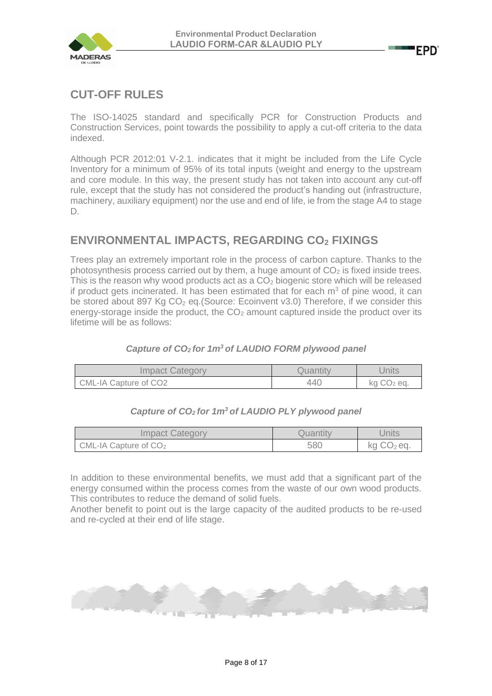

# **CUT-OFF RULES**

The ISO-14025 standard and specifically PCR for Construction Products and Construction Services, point towards the possibility to apply a cut-off criteria to the data indexed.

Although PCR 2012:01 V-2.1. indicates that it might be included from the Life Cycle Inventory for a minimum of 95% of its total inputs (weight and energy to the upstream and core module. In this way, the present study has not taken into account any cut-off rule, except that the study has not considered the product's handing out (infrastructure, machinery, auxiliary equipment) nor the use and end of life, ie from the stage A4 to stage D.

# **ENVIRONMENTAL IMPACTS, REGARDING CO<sup>2</sup> FIXINGS**

Trees play an extremely important role in the process of carbon capture. Thanks to the photosynthesis process carried out by them, a huge amount of  $CO<sub>2</sub>$  is fixed inside trees. This is the reason why wood products act as a  $CO<sub>2</sub>$  biogenic store which will be released if product gets incinerated. It has been estimated that for each  $m<sup>3</sup>$  of pine wood, it can be stored about 897 Kg  $CO<sub>2</sub>$  eq. (Source: Ecoinvent v3.0) Therefore, if we consider this energy-storage inside the product, the  $CO<sub>2</sub>$  amount captured inside the product over its lifetime will be as follows:

### *Capture of CO2 for 1m<sup>3</sup>of LAUDIO FORM plywood panel*

| Impact Category       | Quantity | Jnits                  |
|-----------------------|----------|------------------------|
| CML-IA Capture of CO2 | 440      | kg CO <sub>2</sub> eq. |

### *Capture of CO2 for 1m<sup>3</sup>of LAUDIO PLY plywood panel*

| <b>Impact Category</b>  | Quantıtv | Units        |
|-------------------------|----------|--------------|
| CML-IA Capture of $CO2$ | 580      | $kg CO2$ eq. |

In addition to these environmental benefits, we must add that a significant part of the energy consumed within the process comes from the waste of our own wood products. This contributes to reduce the demand of solid fuels.

Another benefit to point out is the large capacity of the audited products to be re-used and re-cycled at their end of life stage.

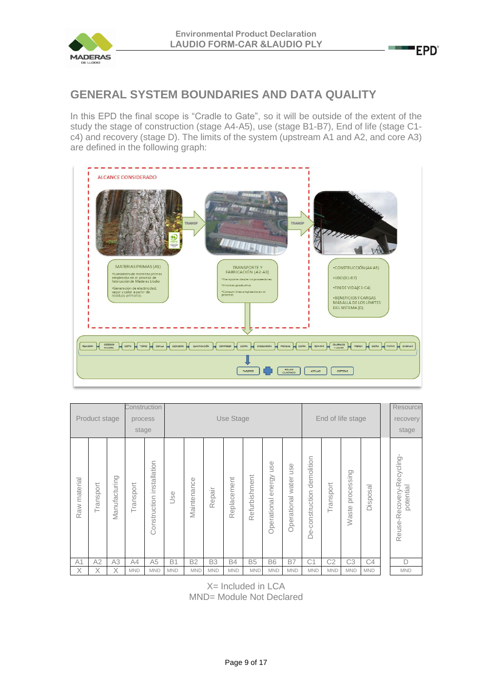

**Contract** 

# **GENERAL SYSTEM BOUNDARIES AND DATA QUALITY**

In this EPD the final scope is "Cradle to Gate", so it will be outside of the extent of the study the stage of construction (stage A4-A5), use (stage B1-B7), End of life (stage C1 c4) and recovery (stage D). The limits of the system (upstream A1 and A2, and core A3) are defined in the following graph:



|                | Product stage |                | Construction<br>process<br>stage |                              |            |             |            | Use Stage   |               |                                            |                                                                                            |                               |                | End of life stage       |                      | Resource<br>recovery<br>stage          |
|----------------|---------------|----------------|----------------------------------|------------------------------|------------|-------------|------------|-------------|---------------|--------------------------------------------|--------------------------------------------------------------------------------------------|-------------------------------|----------------|-------------------------|----------------------|----------------------------------------|
| Raw material   | Transport     | Manufacturing  | Transport                        | installation<br>Construction | Use        | Maintenance | Repair     | Replacement | Refurbishment | $\mathbb O$<br>šū<br>energy<br>Operational | $\circ$<br>$\overline{S}$<br>$\leftharpoonup$<br>water<br>$\overline{\sigma}$<br>Operation | demolition<br>De-construction | Transport      | g<br>processin<br>Waste | sal<br><b>Dispos</b> | Reuse-Recovery-Recycling-<br>potential |
| A <sub>1</sub> | A2            | A <sub>3</sub> | A4                               | A <sub>5</sub>               | <b>B1</b>  | <b>B2</b>   | <b>B3</b>  | <b>B4</b>   | <b>B5</b>     | <b>B6</b>                                  | <b>B7</b>                                                                                  | C <sub>1</sub>                | C <sub>2</sub> | C3                      | C4                   | D                                      |
| X              | Χ             | X              | <b>MND</b>                       | <b>MND</b>                   | <b>MND</b> | <b>MND</b>  | <b>MND</b> | <b>MND</b>  | <b>MND</b>    | <b>MND</b>                                 | <b>MND</b>                                                                                 | <b>MND</b>                    | <b>MND</b>     | <b>MND</b>              | <b>MND</b>           | <b>MND</b>                             |

X= Included in LCA MND= Module Not Declared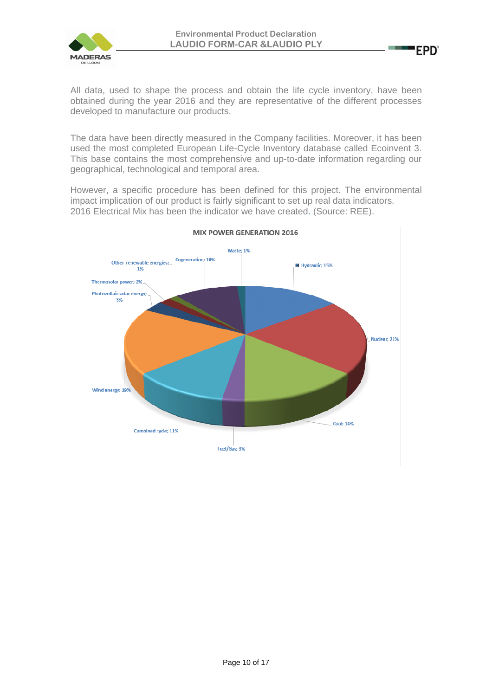

All data, used to shape the process and obtain the life cycle inventory, have been obtained during the year 2016 and they are representative of the different processes developed to manufacture our products.

The data have been directly measured in the Company facilities. Moreover, it has been used the most completed European Life-Cycle Inventory database called Ecoinvent 3. This base contains the most comprehensive and up-to-date information regarding our geographical, technological and temporal area.

However, a specific procedure has been defined for this project. The environmental impact implication of our product is fairly significant to set up real data indicators. 2016 Electrical Mix has been the indicator we have created. (Source: REE).

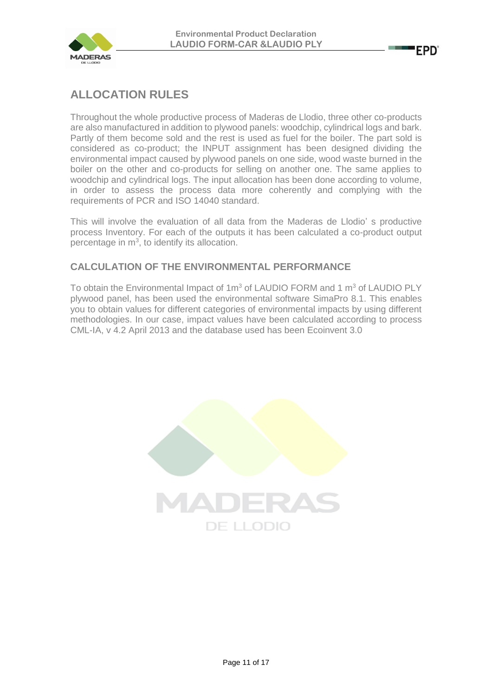



# **ALLOCATION RULES**

Throughout the whole productive process of Maderas de Llodio, three other co-products are also manufactured in addition to plywood panels: woodchip, cylindrical logs and bark. Partly of them become sold and the rest is used as fuel for the boiler. The part sold is considered as co-product; the INPUT assignment has been designed dividing the environmental impact caused by plywood panels on one side, wood waste burned in the boiler on the other and co-products for selling on another one. The same applies to woodchip and cylindrical logs. The input allocation has been done according to volume, in order to assess the process data more coherently and complying with the requirements of PCR and ISO 14040 standard.

This will involve the evaluation of all data from the Maderas de Llodio' s productive process Inventory. For each of the outputs it has been calculated a co-product output percentage in  $m<sup>3</sup>$ , to identify its allocation.

### **CALCULATION OF THE ENVIRONMENTAL PERFORMANCE**

To obtain the Environmental Impact of  $1m<sup>3</sup>$  of LAUDIO FORM and 1  $m<sup>3</sup>$  of LAUDIO PLY plywood panel, has been used the environmental software SimaPro 8.1. This enables you to obtain values for different categories of environmental impacts by using different methodologies. In our case, impact values have been calculated according to process CML-IA, v 4.2 April 2013 and the database used has been Ecoinvent 3.0

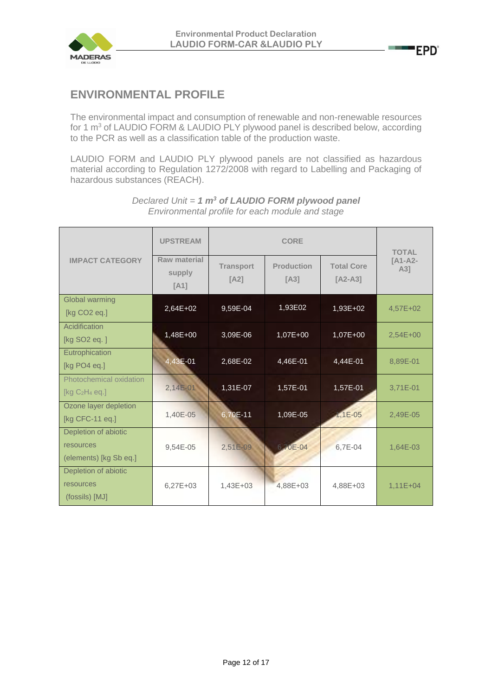

# **ENVIRONMENTAL PROFILE**

The environmental impact and consumption of renewable and non-renewable resources for 1 m<sup>3</sup> of LAUDIO FORM & LAUDIO PLY plywood panel is described below, according to the PCR as well as a classification table of the production waste.

LAUDIO FORM and LAUDIO PLY plywood panels are not classified as hazardous material according to Regulation 1272/2008 with regard to Labelling and Packaging of hazardous substances (REACH).

|                                                             | <b>UPSTREAM</b>                | <b>TOTAL</b>             |                           |                                |                  |
|-------------------------------------------------------------|--------------------------------|--------------------------|---------------------------|--------------------------------|------------------|
| <b>IMPACT CATEGORY</b>                                      | Raw material<br>supply<br>[A1] | <b>Transport</b><br>[A2] | <b>Production</b><br>[A3] | <b>Total Core</b><br>$[A2-A3]$ | $TA1-A2-$<br>A31 |
| <b>Global warming</b><br>[kg CO2 eq.]                       | 2,64E+02                       | 9,59E-04                 | 1,93E02                   | 1,93E+02                       | 4,57E+02         |
| Acidification<br>[kg SO <sub>2</sub> eq.]                   | 1,48E+00                       | 3,09E-06                 | 1,07E+00                  | 1,07E+00                       | $2,54E+00$       |
| Eutrophication<br>[kg PO4 eq.]                              | 4,43E-01                       | 2,68E-02                 | 4,46E-01                  | 4,44E-01                       | 8,89E-01         |
| Photochemical oxidation<br>[ $kg C2H4 eq.]$                 | $2,14E-01$                     | 1,31E-07                 | 1,57E-01                  | 1,57E-01                       | 3,71E-01         |
| Ozone layer depletion<br>[kg CFC-11 eq.]                    | 1,40E-05                       | 6,70E-11                 | 1,09E-05                  | $1,1E-05$                      | 2,49E-05         |
| Depletion of abiotic<br>resources<br>(elements) [kg Sb eq.] | 9,54E-05                       | 2,51E-09                 | 6.70E-04                  | 6,7E-04                        | 1,64E-03         |
| Depletion of abiotic<br>resources<br>(fossils) [MJ]         | $6,27E+03$                     | $1,43E+03$               | 4,88E+03                  | 4,88E+03                       | $1,11E+04$       |

*Declared Unit = 1 m<sup>3</sup> of LAUDIO FORM plywood panel Environmental profile for each module and stage*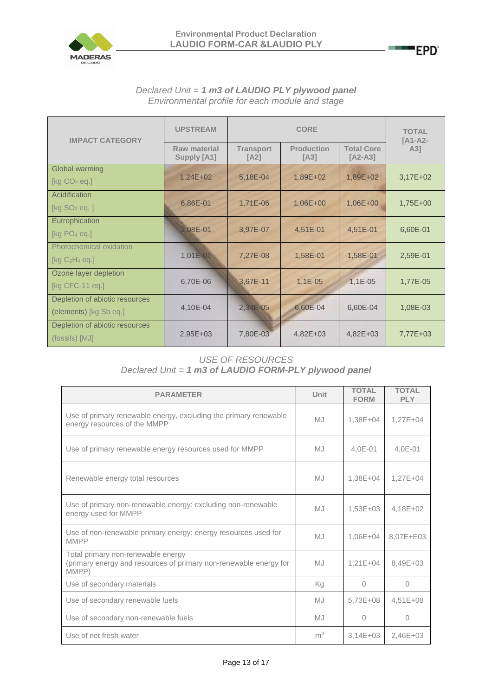

### *Declared Unit = 1 m3 of LAUDIO PLY plywood panel Environmental profile for each module and stage*

| <b>IMPACT CATEGORY</b>                                   | <b>UPSTREAM</b>             |                          | <b>TOTAL</b><br>[A1-A2-   |                                |            |
|----------------------------------------------------------|-----------------------------|--------------------------|---------------------------|--------------------------------|------------|
|                                                          | Raw material<br>Supply [A1] | <b>Transport</b><br>[A2] | <b>Production</b><br>[A3] | <b>Total Core</b><br>$[A2-A3]$ | $A3$ ]     |
| Global warming<br>[ $kg CO2$ eq.]                        | $1,24E+02$                  | 5,18E-04                 | 1,89E+02                  | 1,89E+02                       | $3,17E+02$ |
| Acidification<br>[ $kg SO2 eq.$ ]                        | 6,86E-01                    | 1,71E-06                 | $1,06E+00$                | $1,06E + 00$                   | 1,75E+00   |
| Eutrophication<br>[ $kg PO4$ eq.]                        | 2.08E-01                    | 3,97E-07                 | 4,51E-01                  | 4,51E-01                       | 6,60E-01   |
| Photochemical oxidation<br>[ $kg C2H4 eq.]$              | $1,01E - 01$                | 7,27E-08                 | 1,58E-01                  | 1,58E-01                       | 2,59E-01   |
| Ozone layer depletion<br>[kg CFC-11 eq.]                 | 6,70E-06                    | 3,67E-11                 | $1,1E-05$                 | $1,1E-05$                      | 1,77E-05   |
| Depletion of abiotic resources<br>(elements) [kg Sb eq.] | 4,10E-04                    | 2,34E-05                 | 6,60E-04                  | 6,60E-04                       | 1,08E-03   |
| Depletion of abiotic resources<br>(fossils) [MJ]         | 2,95E+03                    | 7,80E-03                 | $4,82E+03$                | $4,82E+03$                     | 7,77E+03   |

### *USE OF RESOURCES Declared Unit = 1 m3 of LAUDIO FORM-PLY plywood panel*

| <b>PARAMETER</b>                                                                                                 | Unit           | <b>TOTAL</b><br><b>FORM</b> | <b>TOTAL</b><br><b>PLY</b> |
|------------------------------------------------------------------------------------------------------------------|----------------|-----------------------------|----------------------------|
| Use of primary renewable energy, excluding the primary renewable<br>energy resources of the MMPP                 | M <sub>1</sub> | 1,38E+04                    | $1,27E+04$                 |
| Use of primary renewable energy resources used for MMPP                                                          | MJ             | $4,0E-01$                   | $4,0E-01$                  |
| Renewable energy total resources                                                                                 | MJ             | 1,38E+04                    | $1,27E+04$                 |
| Use of primary non-renewable energy: excluding non-renewable<br>energy used for MMPP                             | <b>MJ</b>      | $1,53E+03$                  | 4,18E+02                   |
| Use of non-renewable primary energy: energy resources used for<br><b>MMPP</b>                                    | <b>MJ</b>      | 1,06E+04                    | 8,07E+E03                  |
| Total primary non-renewable energy<br>(primary energy and resources of primary non-renewable energy for<br>MMPP) | <b>MJ</b>      | $1,21E+04$                  | 8,49E+03                   |
| Use of secondary materials                                                                                       | Κq             | $\bigcap$                   | 0                          |
| Use of secondary renewable fuels                                                                                 | MJ             | 5,73E+08                    | $4,51E+08$                 |
| Use of secondary non-renewable fuels                                                                             | MJ             | $\Omega$                    | 0                          |
| Use of net fresh water                                                                                           | m <sup>3</sup> | $3,14E+03$                  | 2,46E+03                   |

**EPD**<sup>®</sup>

**COL**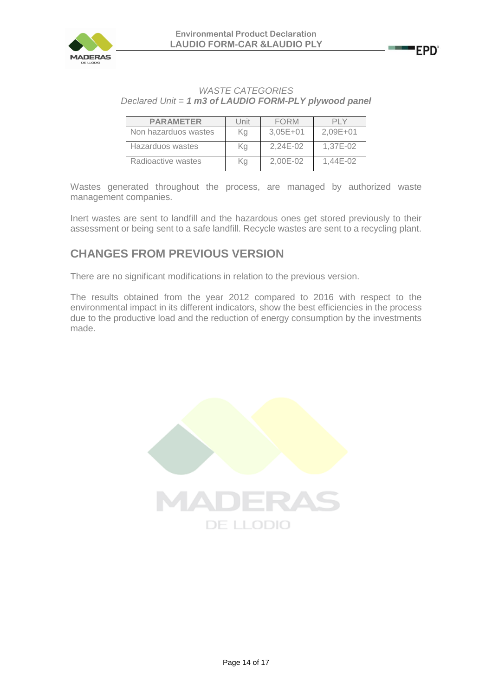

### **EPD'**

### *WASTE CATEGORIES Declared Unit = 1 m3 of LAUDIO FORM-PLY plywood panel*

| <b>PARAMETER</b>     | Unit | <b>FORM</b>  |              |
|----------------------|------|--------------|--------------|
| Non hazarduos wastes | Κa   | $3,05E+01$   | $2.09E + 01$ |
| Hazarduos wastes     | Κa   | $2.24E - 02$ | 1.37E-02     |
| Radioactive wastes   | Kg   | 2.00E-02     | $1.44E - 02$ |

Wastes generated throughout the process, are managed by authorized waste management companies.

Inert wastes are sent to landfill and the hazardous ones get stored previously to their assessment or being sent to a safe landfill. Recycle wastes are sent to a recycling plant.

# **CHANGES FROM PREVIOUS VERSION**

There are no significant modifications in relation to the previous version.

The results obtained from the year 2012 compared to 2016 with respect to the environmental impact in its different indicators, show the best efficiencies in the process due to the productive load and the reduction of energy consumption by the investments made.

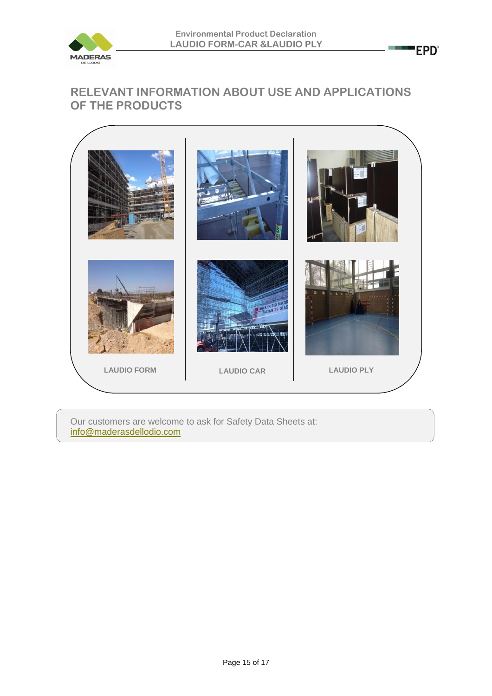

**Contract** 

'EPD'

## **RELEVANT INFORMATION ABOUT USE AND APPLICATIONS OF THE PRODUCTS**



Our customers are welcome to ask for Safety Data Sheets at: [info@maderasdellodio.com](mailto:info@maderasdellodio.com)

Page 15 of 17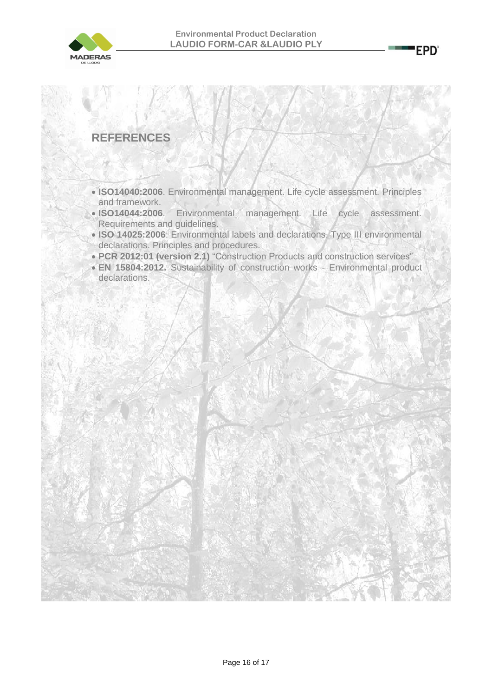

## **REFERENCES**

- **ISO14040:2006**. Environmental management. Life cycle assessment. Principles and framework.
- **ISO14044:2006**. Environmental management. Life cycle assessment. Requirements and guidelines.
- **ISO 14025:2006**: Environmental labels and declarations. Type III environmental declarations. Principles and procedures.
- **PCR 2012:01 (version 2.1)** "Construction Products and construction services"
- **EN 15804:2012.** Sustainability of construction works Environmental product declarations.